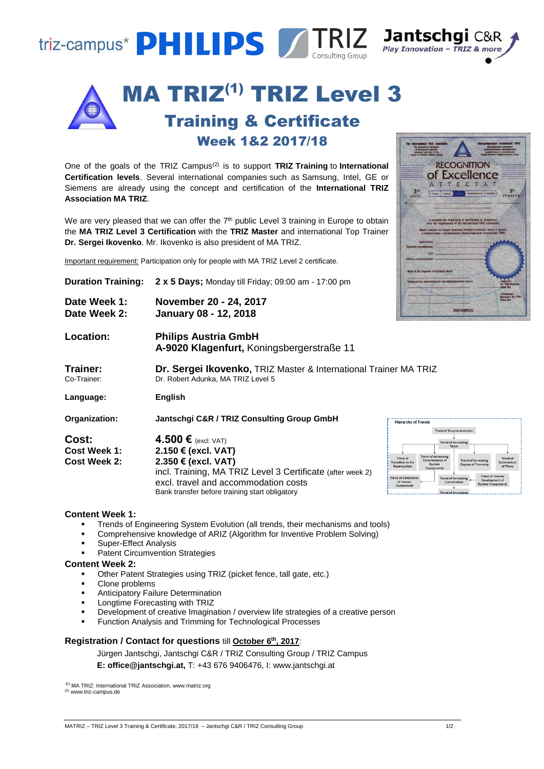



One of the goals of the TRIZ Campus(2) is to support **TRIZ Training** to **International Certification levels**. Several international companies such as Samsung, Intel, GE or Siemens are already using the concept and certification of the **International TRIZ Association MA TRIZ**.

We are very pleased that we can offer the  $7<sup>th</sup>$  public Level 3 training in Europe to obtain the MA TRIZ Level 3 Certification with the TRIZ Master and international Top Train **Dr. Sergei Ikovenko**. Mr. Ikovenko is also president of MA TRIZ.

|                                                     | Important requirement: Participation only for people with MA TRIZ Level 2 certificate.                                                                                           | Область специализац<br>of the Regional Certification Board                                                                                                                                                                                                                                                                                                                                                                     |
|-----------------------------------------------------|----------------------------------------------------------------------------------------------------------------------------------------------------------------------------------|--------------------------------------------------------------------------------------------------------------------------------------------------------------------------------------------------------------------------------------------------------------------------------------------------------------------------------------------------------------------------------------------------------------------------------|
| <b>Duration Training:</b>                           | <b>2 x 5 Days;</b> Monday till Friday; 09:00 am - 17:00 pm                                                                                                                       | пь осгазнального сертификационного совета                                                                                                                                                                                                                                                                                                                                                                                      |
| Date Week 1:<br>Date Week 2:                        | November 20 - 24, 2017<br>January 08 - 12, 2018                                                                                                                                  | www.matriz.ru                                                                                                                                                                                                                                                                                                                                                                                                                  |
| Location:                                           | <b>Philips Austria GmbH</b><br>A-9020 Klagenfurt, Koningsbergerstraße 11                                                                                                         |                                                                                                                                                                                                                                                                                                                                                                                                                                |
| Trainer:<br>Co-Trainer:                             | Dr. Sergei Ikovenko, TRIZ Master & International Trainer MA TRIZ<br>Dr. Robert Adunka, MA TRIZ Level 5                                                                           |                                                                                                                                                                                                                                                                                                                                                                                                                                |
| Language:                                           | English                                                                                                                                                                          |                                                                                                                                                                                                                                                                                                                                                                                                                                |
| Organization:                                       | Jantschgi C&R / TRIZ Consulting Group GmbH                                                                                                                                       | <b>Hierarchy of Trends</b>                                                                                                                                                                                                                                                                                                                                                                                                     |
| Cost:<br><b>Cost Week 1:</b><br><b>Cost Week 2:</b> | 4.500 $\epsilon$ (excl. VAT)<br>2.150 € (excl. VAT)<br>2.350 € (excl. VAT)<br>incl. Training, MA TRIZ Level 3 Certificate (after week 2)<br>excl. travel and accommodation costs | <b>Trend of S-curve evolution</b><br><b>Trend of Increasing</b><br>Value<br><b>Trend of Increasing</b><br><b>Trend of</b><br><b>Trend of</b><br>Completeness of<br><b>Trend of Increasing</b><br>Optimizatio<br><b>Transition</b> to the<br><b>Degree of Trimming</b><br>Svstem<br>of Flows<br>Supersystem<br>Components<br><b>Trend of Increasin</b><br>Development o<br>of Humar<br>Coordination<br><b>System Components</b> |

#### **Content Week 1:**

- Trends of Engineering System Evolution (all trends, their mechanisms and tools)
- Comprehensive knowledge of ARIZ (Algorithm for Inventive Problem Solving)

Bank transfer before training start obligatory

- Super-Effect Analysis
- Patent Circumvention Strategies

### **Content Week 2:**

- Other Patent Strategies using TRIZ (picket fence, tall gate, etc.)
- Clone problems
- Anticipatory Failure Determination
- Longtime Forecasting with TRIZ
- Development of creative Imagination / overview life strategies of a creative person
- Function Analysis and Trimming for Technological Processes

# **Registration / Contact for questions** till **October 6 th , 2017**:

Jürgen Jantschgi, Jantschgi C&R / TRIZ Consulting Group / TRIZ Campus

**E: office@jantschgi.at,** T: +43 676 9406476, I: www.jantschgi.at

**(**1) MA TRIZ: International TRIZ Association, www.matriz.org (2) www.triz-campus.de



Trend of Increasing

| ain | is awarded the Third level of certification in compliance<br>with the requirements of the International TRIZ Association.     |                                               |
|-----|-------------------------------------------------------------------------------------------------------------------------------|-----------------------------------------------|
| ner | Имеет знания по Теории Решения Изобретательских Задач 5 уровня<br>в соответствии с требованними Международной Ассоциации ТРИЗ |                                               |
|     | Qualification:                                                                                                                |                                               |
|     | Присходна изданий деятельной<br>Area's fill the bar with                                                                      |                                               |
|     | Область специализации:                                                                                                        |                                               |
|     |                                                                                                                               |                                               |
|     | Head of the Regional Certification Board                                                                                      |                                               |
|     | Рукаводитель регионального сертификационного совета                                                                           | «Approved»                                    |
|     |                                                                                                                               | <b>MA TRIZ President</b><br><b>Ruber M.S.</b> |
|     |                                                                                                                               | -Утверждаю-                                   |
|     |                                                                                                                               | Преминет МА ТРИЗ                              |
|     | www.matriz.ru                                                                                                                 |                                               |
|     |                                                                                                                               |                                               |

**RECOGNITION** of Excellence